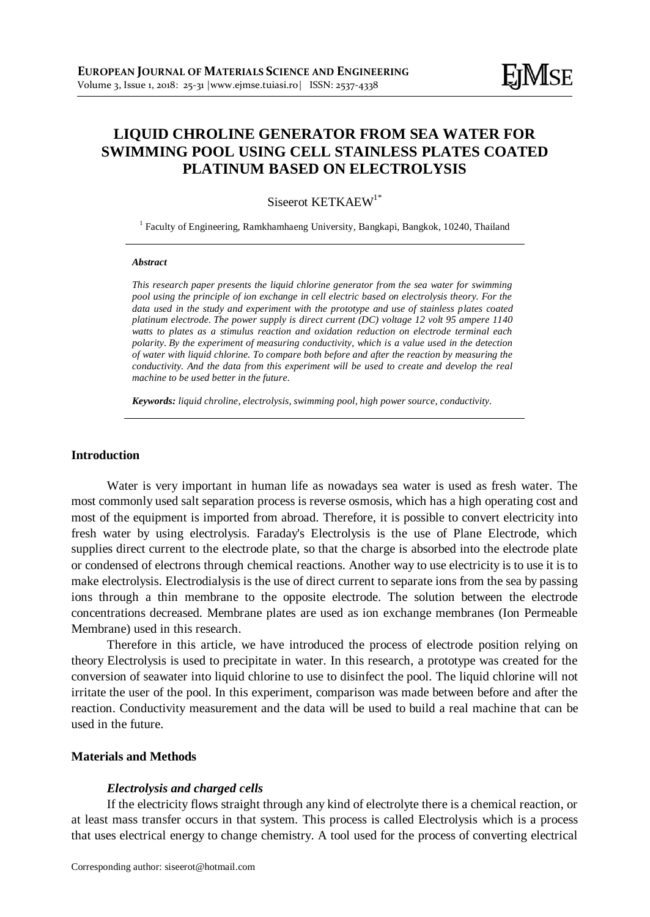# **LIQUID CHROLINE GENERATOR FROM SEA WATER FOR SWIMMING POOL USING CELL STAINLESS PLATES COATED PLATINUM BASED ON ELECTROLYSIS**

# Siseerot KETKAEW<sup>1\*</sup>

<sup>1</sup> Faculty of Engineering, Ramkhamhaeng University, Bangkapi, Bangkok, 10240, Thailand

#### *Abstract*

*This research paper presents the liquid chlorine generator from the sea water for swimming pool using the principle of ion exchange in cell electric based on electrolysis theory. For the data used in the study and experiment with the prototype and use of stainless plates coated platinum electrode. The power supply is direct current (DC) voltage 12 volt 95 ampere 1140 watts to plates as a stimulus reaction and oxidation reduction on electrode terminal each polarity. By the experiment of measuring conductivity, which is a value used in the detection of water with liquid chlorine. To compare both before and after the reaction by measuring the conductivity. And the data from this experiment will be used to create and develop the real machine to be used better in the future.*

*Keywords: liquid chroline, electrolysis, swimming pool, high power source, conductivity.*

# **Introduction**

Water is very important in human life as nowadays sea water is used as fresh water. The most commonly used salt separation process is reverse osmosis, which has a high operating cost and most of the equipment is imported from abroad. Therefore, it is possible to convert electricity into fresh water by using electrolysis. Faraday's Electrolysis is the use of Plane Electrode, which supplies direct current to the electrode plate, so that the charge is absorbed into the electrode plate or condensed of electrons through chemical reactions. Another way to use electricity is to use it is to make electrolysis. Electrodialysis is the use of direct current to separate ions from the sea by passing ions through a thin membrane to the opposite electrode. The solution between the electrode concentrations decreased. Membrane plates are used as ion exchange membranes (Ion Permeable Membrane) used in this research.

Therefore in this article, we have introduced the process of electrode position relying on theory Electrolysis is used to precipitate in water. In this research, a prototype was created for the conversion of seawater into liquid chlorine to use to disinfect the pool. The liquid chlorine will not irritate the user of the pool. In this experiment, comparison was made between before and after the reaction. Conductivity measurement and the data will be used to build a real machine that can be used in the future.

### **Materials and Methods**

### *Electrolysis and charged cells*

If the electricity flows straight through any kind of electrolyte there is a chemical reaction, or at least mass transfer occurs in that system. This process is called Electrolysis which is a process that uses electrical energy to change chemistry. A tool used for the process of converting electrical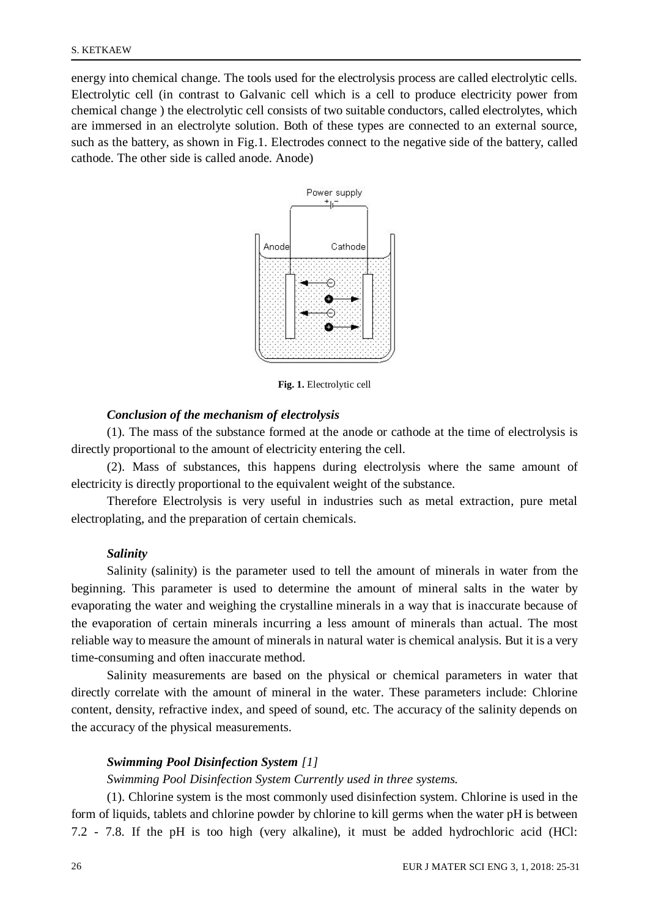energy into chemical change. The tools used for the electrolysis process are called electrolytic cells. Electrolytic cell (in contrast to Galvanic cell which is a cell to produce electricity power from chemical change ) the electrolytic cell consists of two suitable conductors, called electrolytes, which are immersed in an electrolyte solution. Both of these types are connected to an external source, such as the battery, as shown in Fig.1. Electrodes connect to the negative side of the battery, called cathode. The other side is called anode. Anode)



**Fig. 1.** Electrolytic cell

# *Conclusion of the mechanism of electrolysis*

(1). The mass of the substance formed at the anode or cathode at the time of electrolysis is directly proportional to the amount of electricity entering the cell.

(2). Mass of substances, this happens during electrolysis where the same amount of electricity is directly proportional to the equivalent weight of the substance.

Therefore Electrolysis is very useful in industries such as metal extraction, pure metal electroplating, and the preparation of certain chemicals.

### *Salinity*

Salinity (salinity) is the parameter used to tell the amount of minerals in water from the beginning. This parameter is used to determine the amount of mineral salts in the water by evaporating the water and weighing the crystalline minerals in a way that is inaccurate because of the evaporation of certain minerals incurring a less amount of minerals than actual. The most reliable way to measure the amount of minerals in natural water is chemical analysis. But it is a very time-consuming and often inaccurate method.

Salinity measurements are based on the physical or chemical parameters in water that directly correlate with the amount of mineral in the water. These parameters include: Chlorine content, density, refractive index, and speed of sound, etc. The accuracy of the salinity depends on the accuracy of the physical measurements.

### *Swimming Pool Disinfection System [1]*

### *Swimming Pool Disinfection System Currently used in three systems.*

(1). Chlorine system is the most commonly used disinfection system. Chlorine is used in the form of liquids, tablets and chlorine powder by chlorine to kill germs when the water pH is between 7.2 - 7.8. If the pH is too high (very alkaline), it must be added hydrochloric acid (HCl: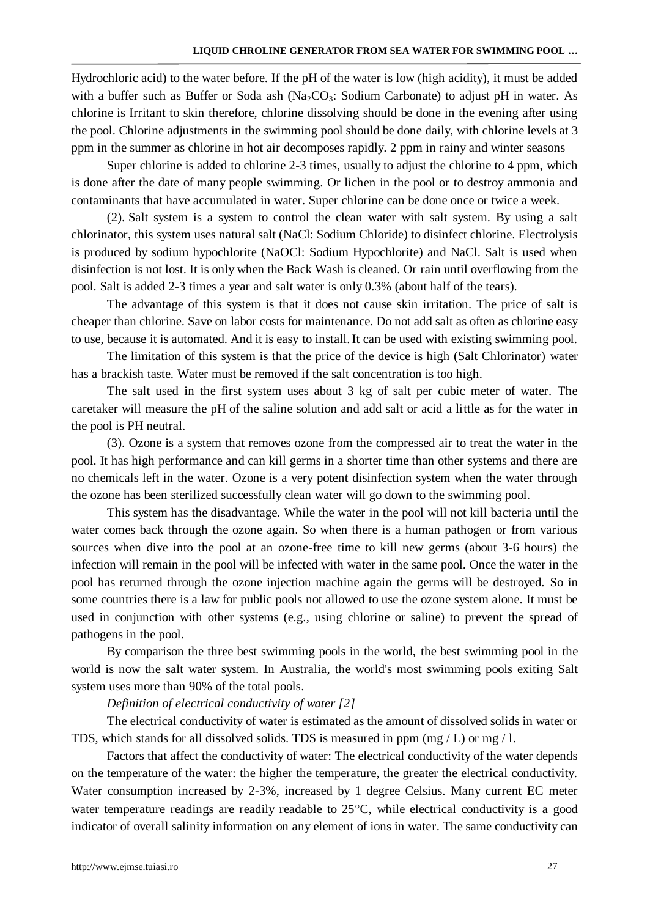Hydrochloric acid) to the water before. If the pH of the water is low (high acidity), it must be added with a buffer such as Buffer or Soda ash ( $Na<sub>2</sub>CO<sub>3</sub>$ : Sodium Carbonate) to adjust pH in water. As chlorine is Irritant to skin therefore, chlorine dissolving should be done in the evening after using the pool. Chlorine adjustments in the swimming pool should be done daily, with chlorine levels at 3 ppm in the summer as chlorine in hot air decomposes rapidly. 2 ppm in rainy and winter seasons

Super chlorine is added to chlorine 2-3 times, usually to adjust the chlorine to 4 ppm, which is done after the date of many people swimming. Or lichen in the pool or to destroy ammonia and contaminants that have accumulated in water. Super chlorine can be done once or twice a week.

(2). Salt system is a system to control the clean water with salt system. By using a salt chlorinator, this system uses natural salt (NaCl: Sodium Chloride) to disinfect chlorine. Electrolysis is produced by sodium hypochlorite (NaOCl: Sodium Hypochlorite) and NaCl. Salt is used when disinfection is not lost. It is only when the Back Wash is cleaned. Or rain until overflowing from the pool. Salt is added 2-3 times a year and salt water is only 0.3% (about half of the tears).

The advantage of this system is that it does not cause skin irritation. The price of salt is cheaper than chlorine. Save on labor costs for maintenance. Do not add salt as often as chlorine easy to use, because it is automated. And it is easy to install. It can be used with existing swimming pool.

The limitation of this system is that the price of the device is high (Salt Chlorinator) water has a brackish taste. Water must be removed if the salt concentration is too high.

The salt used in the first system uses about 3 kg of salt per cubic meter of water. The caretaker will measure the pH of the saline solution and add salt or acid a little as for the water in the pool is PH neutral.

(3). Ozone is a system that removes ozone from the compressed air to treat the water in the pool. It has high performance and can kill germs in a shorter time than other systems and there are no chemicals left in the water. Ozone is a very potent disinfection system when the water through the ozone has been sterilized successfully clean water will go down to the swimming pool.

This system has the disadvantage. While the water in the pool will not kill bacteria until the water comes back through the ozone again. So when there is a human pathogen or from various sources when dive into the pool at an ozone-free time to kill new germs (about 3-6 hours) the infection will remain in the pool will be infected with water in the same pool. Once the water in the pool has returned through the ozone injection machine again the germs will be destroyed. So in some countries there is a law for public pools not allowed to use the ozone system alone. It must be used in conjunction with other systems (e.g., using chlorine or saline) to prevent the spread of pathogens in the pool.

By comparison the three best swimming pools in the world, the best swimming pool in the world is now the salt water system. In Australia, the world's most swimming pools exiting Salt system uses more than 90% of the total pools.

# *Definition of electrical conductivity of water [2]*

The electrical conductivity of water is estimated as the amount of dissolved solids in water or TDS, which stands for all dissolved solids. TDS is measured in ppm (mg  $/$  L) or mg  $/$  l.

Factors that affect the conductivity of water: The electrical conductivity of the water depends on the temperature of the water: the higher the temperature, the greater the electrical conductivity. Water consumption increased by 2-3%, increased by 1 degree Celsius. Many current EC meter water temperature readings are readily readable to  $25^{\circ}$ C, while electrical conductivity is a good indicator of overall salinity information on any element of ions in water. The same conductivity can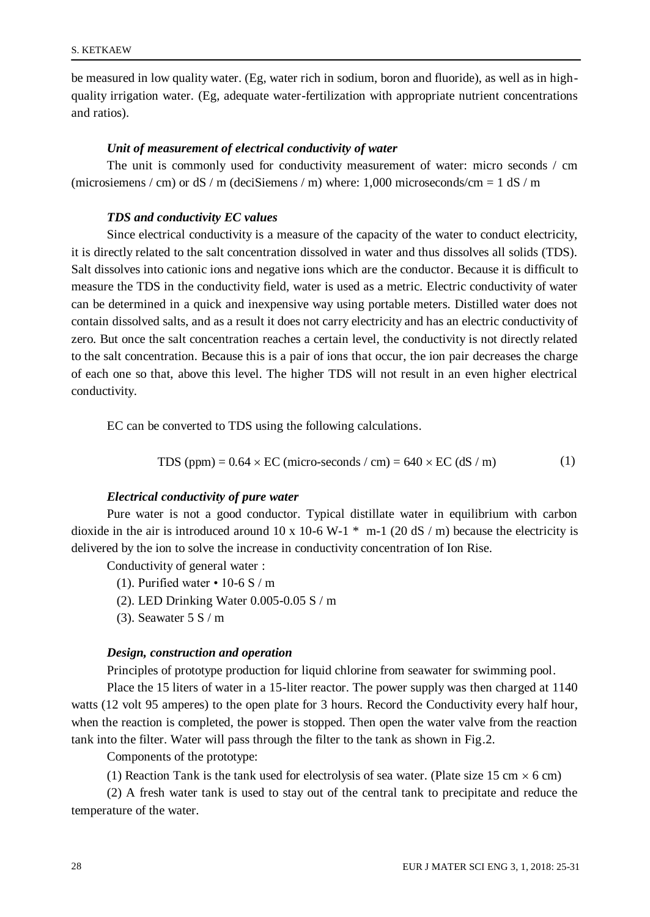be measured in low quality water. (Eg, water rich in sodium, boron and fluoride), as well as in highquality irrigation water. (Eg, adequate water-fertilization with appropriate nutrient concentrations and ratios).

## *Unit of measurement of electrical conductivity of water*

The unit is commonly used for conductivity measurement of water: micro seconds / cm (microsiemens / cm) or dS / m (deciSiemens / m) where:  $1,000$  microseconds/cm = 1 dS / m

### *TDS and conductivity EC values*

Since electrical conductivity is a measure of the capacity of the water to conduct electricity, it is directly related to the salt concentration dissolved in water and thus dissolves all solids (TDS). Salt dissolves into cationic ions and negative ions which are the conductor. Because it is difficult to measure the TDS in the conductivity field, water is used as a metric. Electric conductivity of water can be determined in a quick and inexpensive way using portable meters. Distilled water does not contain dissolved salts, and as a result it does not carry electricity and has an electric conductivity of zero. But once the salt concentration reaches a certain level, the conductivity is not directly related to the salt concentration. Because this is a pair of ions that occur, the ion pair decreases the charge of each one so that, above this level. The higher TDS will not result in an even higher electrical conductivity.

EC can be converted to TDS using the following calculations.

TDS (ppm) = 
$$
0.64 \times EC
$$
 (micro-seconds / cm) =  $640 \times EC$  (dS / m) (1)

## *Electrical conductivity of pure water*

Pure water is not a good conductor. Typical distillate water in equilibrium with carbon dioxide in the air is introduced around 10 x 10-6 W-1  $*$  m-1 (20 dS / m) because the electricity is delivered by the ion to solve the increase in conductivity concentration of Ion Rise.

Conductivity of general water :

- (1). Purified water 10-6 S / m
- (2). LED Drinking Water 0.005-0.05 S / m
- (3). Seawater  $5 S/m$

### *Design, construction and operation*

Principles of prototype production for liquid chlorine from seawater for swimming pool.

Place the 15 liters of water in a 15-liter reactor. The power supply was then charged at 1140 watts (12 volt 95 amperes) to the open plate for 3 hours. Record the Conductivity every half hour, when the reaction is completed, the power is stopped. Then open the water valve from the reaction tank into the filter. Water will pass through the filter to the tank as shown in Fig.2.

Components of the prototype:

(1) Reaction Tank is the tank used for electrolysis of sea water. (Plate size 15 cm  $\times$  6 cm)

(2) A fresh water tank is used to stay out of the central tank to precipitate and reduce the temperature of the water.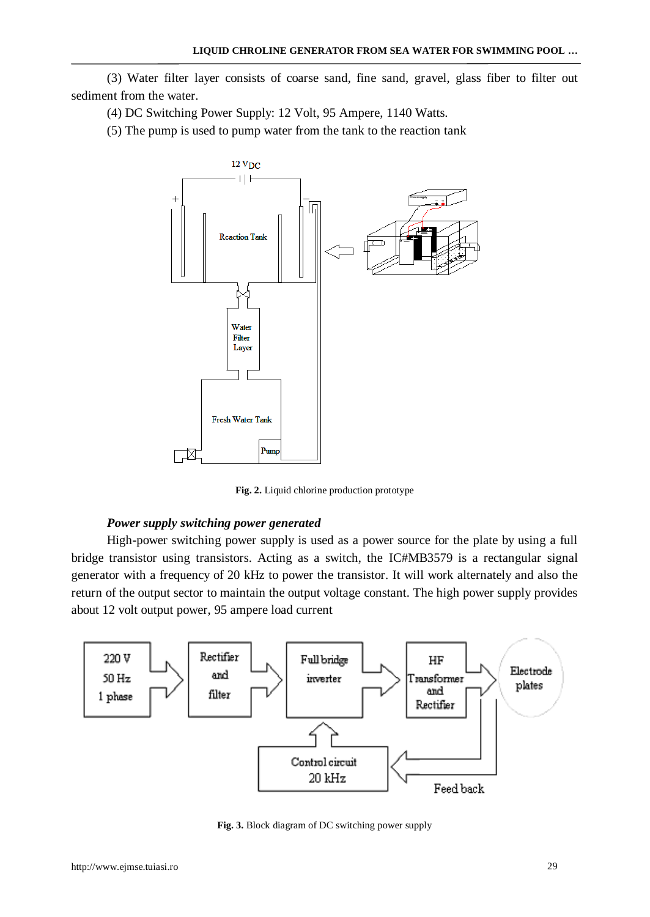(3) Water filter layer consists of coarse sand, fine sand, gravel, glass fiber to filter out sediment from the water.

(4) DC Switching Power Supply: 12 Volt, 95 Ampere, 1140 Watts.

(5) The pump is used to pump water from the tank to the reaction tank



**Fig. 2.** Liquid chlorine production prototype

### *Power supply switching power generated*

High-power switching power supply is used as a power source for the plate by using a full bridge transistor using transistors. Acting as a switch, the IC#MB3579 is a rectangular signal generator with a frequency of 20 kHz to power the transistor. It will work alternately and also the return of the output sector to maintain the output voltage constant. The high power supply provides about 12 volt output power, 95 ampere load current



**Fig. 3.** Block diagram of DC switching power supply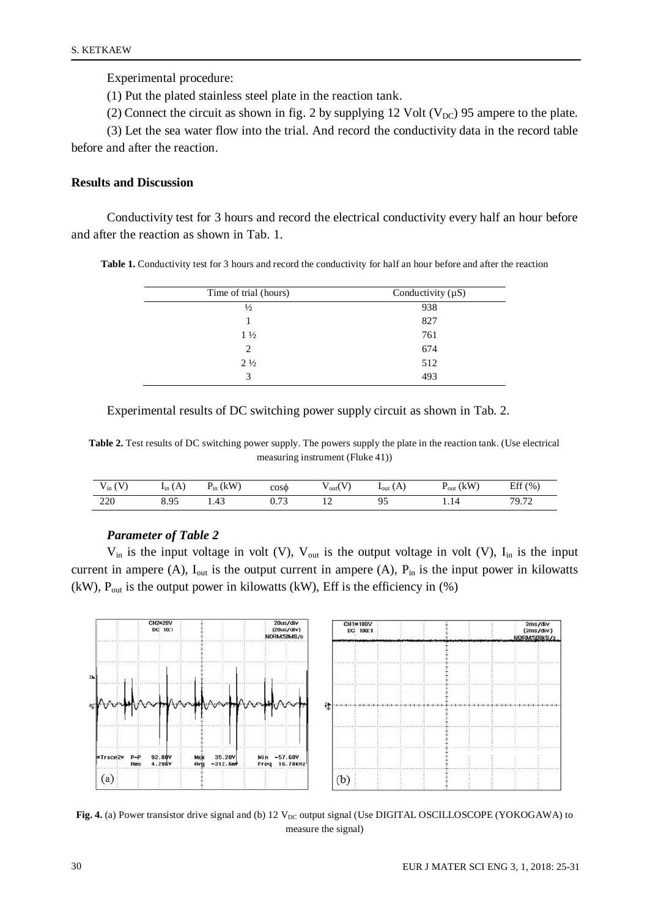Experimental procedure:

(1) Put the plated stainless steel plate in the reaction tank.

(2) Connect the circuit as shown in fig. 2 by supplying 12 Volt ( $V_{DC}$ ) 95 ampere to the plate.

(3) Let the sea water flow into the trial. And record the conductivity data in the record table before and after the reaction.

# **Results and Discussion**

Conductivity test for 3 hours and record the electrical conductivity every half an hour before and after the reaction as shown in Tab. 1.

**Table 1.** Conductivity test for 3 hours and record the conductivity for half an hour before and after the reaction

| Time of trial (hours) | Conductivity $(\mu S)$ |  |  |
|-----------------------|------------------------|--|--|
| $\frac{1}{2}$         | 938                    |  |  |
|                       | 827                    |  |  |
| $1\frac{1}{2}$        | 761                    |  |  |
| 2                     | 674                    |  |  |
| $2\frac{1}{2}$        | 512                    |  |  |
| 3                     | 493                    |  |  |
|                       |                        |  |  |

Experimental results of DC switching power supply circuit as shown in Tab. 2.

**Table 2.** Test results of DC switching power supply. The powers supply the plate in the reaction tank. (Use electrical measuring instrument (Fluke 41))

| $\sim$<br>$V_{in}$ ( | (A)<br>$I_{in}$               | $P_{in}$ (kW) | $cos\phi$                 | $v_{\text{out}}$         | $_{\text{1}_{\text{out}}(A)}$ | (kW)<br>$\overline{ }$ out | Eff (%)              |
|----------------------|-------------------------------|---------------|---------------------------|--------------------------|-------------------------------|----------------------------|----------------------|
| 220                  | O <sub>5</sub><br>o. <u>.</u> | 1.43          | .7 <sup>2</sup><br>u. 7 J | $\overline{\phantom{0}}$ |                               | 1.14                       | $70.7^\circ$<br>7.12 |

# *Parameter of Table 2*

 $V_{in}$  is the input voltage in volt (V),  $V_{out}$  is the output voltage in volt (V),  $I_{in}$  is the input current in ampere (A),  $I_{out}$  is the output current in ampere (A),  $P_{in}$  is the input power in kilowatts (kW),  $P_{out}$  is the output power in kilowatts (kW), Eff is the efficiency in  $(\%)$ 



**Fig. 4.** (a) Power transistor drive signal and (b) 12  $V_{DC}$  output signal (Use DIGITAL OSCILLOSCOPE (YOKOGAWA) to measure the signal)